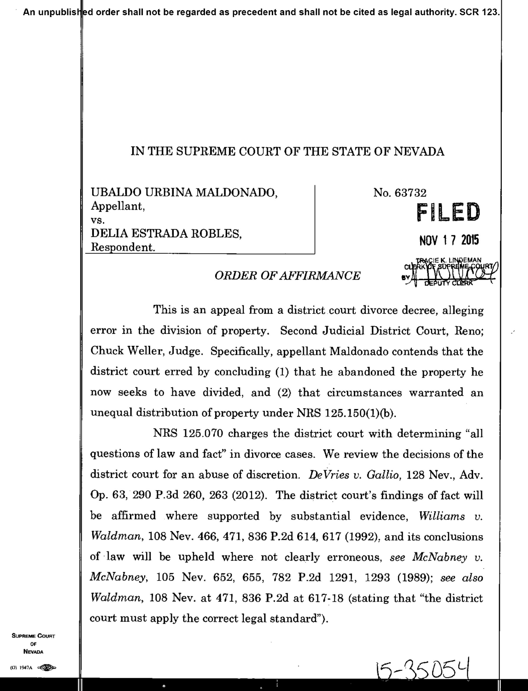## IN THE SUPREME COURT OF THE STATE OF NEVADA

UBALDO URBINA MALDONADO, Appellant, VS. DELIA ESTRADA ROBLES. Respondent.

No. 63732

NOV 1 7 2015

FILED

## **ORDER OF AFFIRMANCE**

This is an appeal from a district court divorce decree, alleging error in the division of property. Second Judicial District Court, Reno; Chuck Weller, Judge. Specifically, appellant Maldonado contends that the district court erred by concluding (1) that he abandoned the property he now seeks to have divided, and (2) that circumstances warranted an unequal distribution of property under NRS 125.150(1)(b).

NRS 125.070 charges the district court with determining "all questions of law and fact" in divorce cases. We review the decisions of the district court for an abuse of discretion. DeVries v. Gallio, 128 Nev., Adv. Op. 63, 290 P.3d 260, 263 (2012). The district court's findings of fact will be affirmed where supported by substantial evidence, Williams v.  $Waldman$ , 108 Nev. 466, 471, 836 P.2d 614, 617 (1992), and its conclusions of law will be upheld where not clearly erroneous, see McNabney v. McNabney, 105 Nev. 652, 655, 782 P.2d 1291, 1293 (1989); see also *Waldman*, 108 Nev. at 471, 836 P.2d at 617-18 (stating that "the district" court must apply the correct legal standard").

**SUPREME COURT** OF. **NEVADA** 

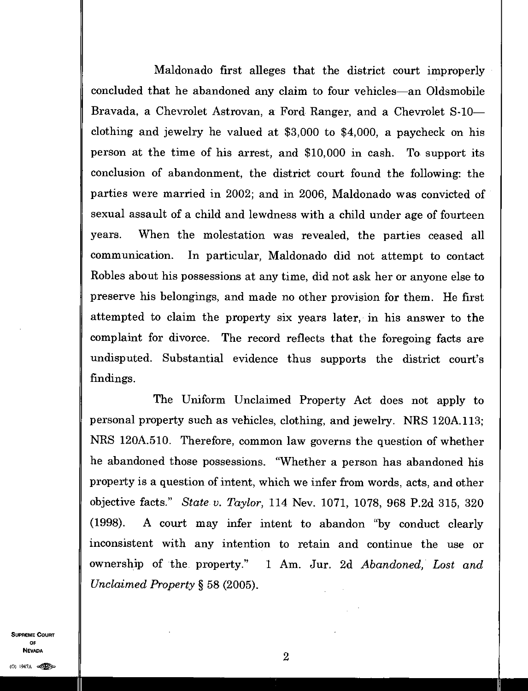Maldonado first alleges that the district court improperly concluded that he abandoned any claim to four vehicles—an Oldsmobile Bravada, a Chevrolet Astrovan, a Ford Ranger, and a Chevrolet S-10 clothing and jewelry he valued at \$3,000 to \$4,000, a paycheck on his person at the time of his arrest, and \$10,000 in cash. To support its conclusion of abandonment, the district court found the following: the parties were married in 2002; and in 2006, Maldonado was convicted of sexual assault of a child and lewdness with a child under age of fourteen years. When the molestation was revealed, the parties ceased all communication. In particular, Maldonado did not attempt to contact Robles about his possessions at any time, did not ask her or anyone else to preserve his belongings, and made no other provision for them. He first attempted to claim the property six years later, in his answer to the complaint for divorce. The record reflects that the foregoing facts are undisputed. Substantial evidence thus supports the district court's findings.

The Uniform Unclaimed Property Act does not apply to personal property such as vehicles, clothing, and jewelry. NRS 120A.113; NRS 120A.510. Therefore, common law governs the question of whether he abandoned those possessions. "Whether a person has abandoned his property is a question of intent, which we infer from words, acts, and other objective facts." *State v. Taylor,* 114 Nev. 1071, 1078, 968 P.2d 315, 320 (1998). A court may infer intent to abandon "by conduct clearly inconsistent with any intention to retain and continue the use or ownership of the property." 1 Am. Jur. 2d *Abandoned, Lost and Unclaimed Property §* 58 (2005).

SUPREME COURT OF  $\blacksquare$ **NEVADA**<br>(0) 1947A ester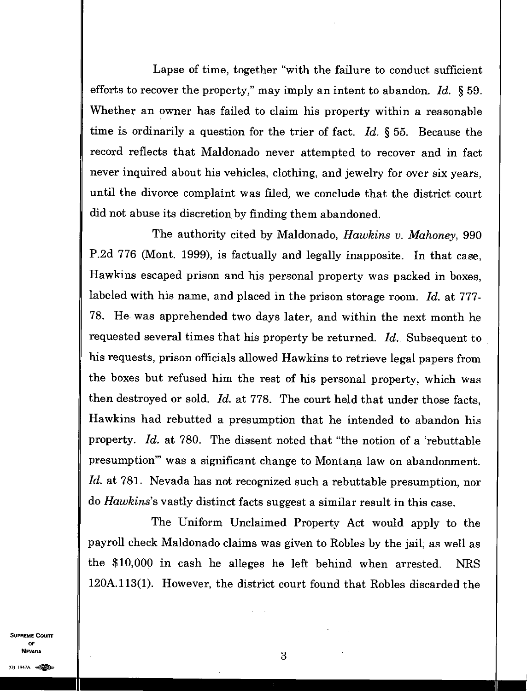Lapse of time, together "with the failure to conduct sufficient efforts to recover the property," may imply an intent to abandon. *Id. §* 59. Whether an owner has failed to claim his property within a reasonable time is ordinarily a question for the trier of fact. *Id. §* 55. Because the record reflects that Maldonado never attempted to recover and in fact never inquired about his vehicles, clothing, and jewelry for over six years, until the divorce complaint was filed, we conclude that the district court did not abuse its discretion by finding them abandoned.

The authority cited by Maldonado, *Hawkins v. Mahoney,* 990 P.2d 776 (Mont. 1999), is factually and legally inapposite. In that case, Hawkins escaped prison and his personal property was packed in boxes, labeled with his name, and placed in the prison storage room. *Id.* at 777- 78. He was apprehended two days later, and within the next month he requested several times that his property be returned. *Id.* Subsequent to his requests, prison officials allowed Hawkins to retrieve legal papers from the boxes but refused him the rest of his personal property, which was then destroyed or sold. *Id.* at 778. The court held that under those facts, Hawkins had rebutted a presumption that he intended to abandon his property. *Id.* at 780. The dissent noted that "the notion of a 'rebuttable presumption" was a significant change to Montana law on abandonment. *Id.* at 781. Nevada has not recognized such a rebuttable presumption, nor do *Hawkins's* vastly distinct facts suggest a similar result in this case.

The Uniform Unclaimed Property Act would apply to the payroll check Maldonado claims was given to Robles by the jail, as well as the \$10,000 in cash he alleges he left behind when arrested. NRS 120A.113(1). However, the district court found that Robles discarded the

SUPREME COURT OF NEVADA  $3$  $N$ evada<br>(0) 1947a egos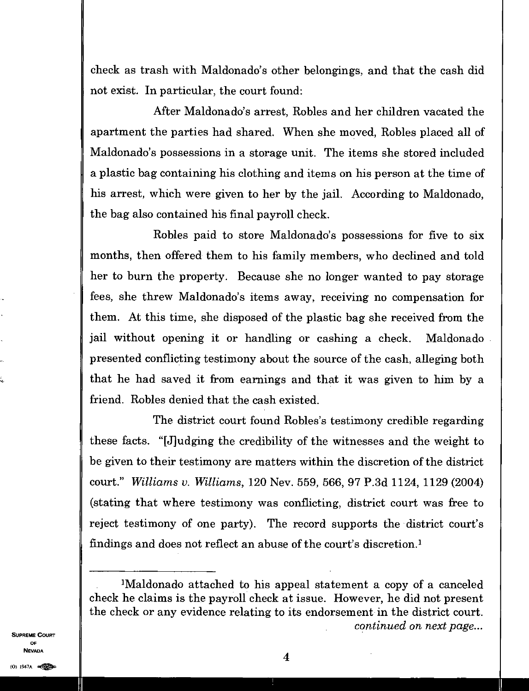check as trash with Maldonado's other belongings, and that the cash did not exist. In particular, the court found:

After Maldonado's arrest, Robles and her children vacated the apartment the parties had shared. When she moved, Robles placed all of Maldonado's possessions in a storage unit. The items she stored included a plastic bag containing his clothing and items on his person at the time of his arrest, which were given to her by the jail. According to Maldonado, the bag also contained his final payroll check.

Robles paid to store Maldonado's possessions for five to six months, then offered them to his family members, who declined and told her to burn the property. Because she no longer wanted to pay storage fees, she threw Maldonado's items away, receiving no compensation for them. At this time, she disposed of the plastic bag she received from the jail without opening it or handling or cashing a check. Maldonado presented conflicting testimony about the source of the cash, alleging both that he had saved it from earnings and that it was given to him by a friend. Robles denied that the cash existed.

The district court found Robles's testimony credible regarding these facts. "[J]udging the credibility of the witnesses and the weight to be given to their testimony are matters within the discretion of the district court." *Williams v. Williams,* 120 Nev. 559, 566, 97 P.3d 1124, 1129 (2004) (stating that where testimony was conflicting, district court was free to reject testimony of one party). The record supports the district court's findings and does not reflect an abuse of the court's discretion.'

SUPREME COURT OF NEVADA

<sup>&#</sup>x27;Maldonado attached to his appeal statement a copy of a canceled check he claims is the payroll check at issue. However, he did not present the check or any evidence relating to its endorsement in the district court. *continued on next page...*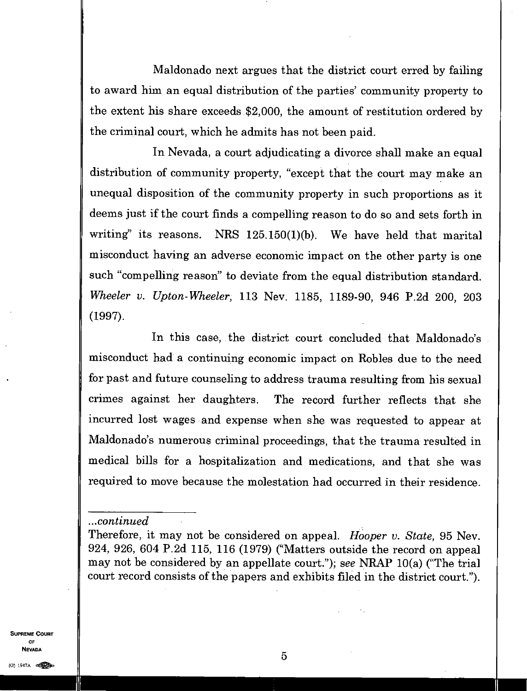Maldonado next argues that the district court erred by failing to award him an equal distribution of the parties' community property to the extent his share exceeds \$2,000, the amount of restitution ordered by the criminal court, which he admits has not been paid.

In Nevada, a court adjudicating a divorce shall make an equal distribution of community property, "except that the court may make an unequal disposition of the community property in such proportions as it deems just if the court finds a compelling reason to do so and sets forth in writing" its reasons. NRS 125.150(1)(b). We have held that marital misconduct having an adverse economic impact on the other party is one such "compelling reason" to deviate from the equal distribution standard. *Wheeler v. Upton-Wheeler,* 113 Nev. 1185, 1189-90, 946 P.2d 200, 203 (1997).

In this case, the district court concluded that Maldonado's misconduct had a continuing economic impact on Robles due to the need for past and future counseling to address trauma resulting from his sexual crimes against her daughters. The record further reflects that she incurred lost wages and expense when she was requested to appear at Maldonado's numerous criminal proceedings, that the trauma resulted in medical bills for a hospitalization and medications, and that she was required to move because the molestation had occurred in their residence.

## *...continued*

SUPREME COURT OF NEVADA

Therefore, it may not be considered on appeal. *Hooper v. State,* 95 Nev. 924, 926, 604 P.2d 115, 116 (1979) ("Matters outside the record on appeal may not be considered by an appellate court"); *see* NRAP 10(a) ("The trial court record consists of the papers and exhibits filed in the district court.").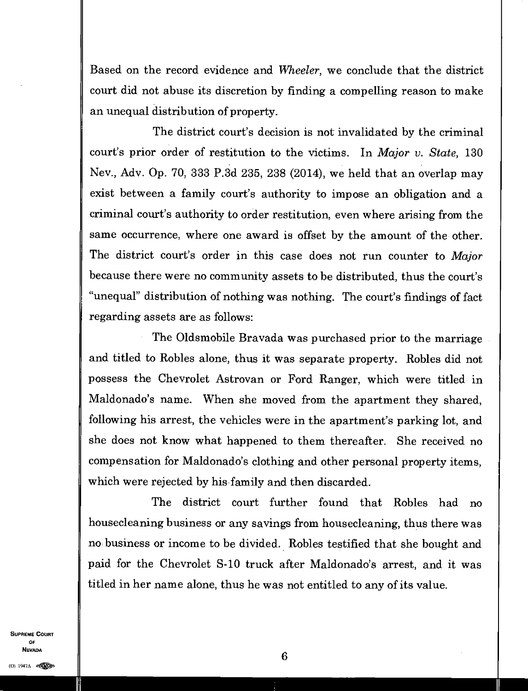Based on the record evidence and *Wheeler,* we conclude that the district court did not abuse its discretion by finding a compelling reason to make an unequal distribution of property.

The district court's decision is not invalidated by the criminal court's prior order of restitution to the victims. In *Major v. State,* 130 Nev., Adv. Op. 70, 333 P.3d 235, 238 (2014), we held that an overlap may exist between a family court's authority to impose an obligation and a criminal court's authority to order restitution, even where arising from the same occurrence, where one award is offset by the amount of the other. The district court's order in this case does not run counter to *Major*  because there were no community assets to be distributed, thus the court's "unequal" distribution of nothing was nothing. The court's findings of fact regarding assets are as follows:

The Oldsmobile Bravada was purchased prior to the marriage and titled to Robles alone, thus it was separate property. Robles did not possess the Chevrolet Astrovan or Ford Ranger, which were titled in Maldonado's name. When she moved from the apartment they shared, following his arrest, the vehicles were in the apartment's parking lot, and she does not know what happened to them thereafter. She received no compensation for Maldonado's clothing and other personal property items, which were rejected by his family and then discarded.

The district court further found that Robles had no housecleaning business or any savings from housecleaning, thus there was no business or income to be divided. Robles testified that she bought and paid for the Chevrolet S-10 truck after Maldonado's arrest, and it was titled in her name alone, thus he was not entitled to any of its value.

SUPREME COURT OF NEVADA

6